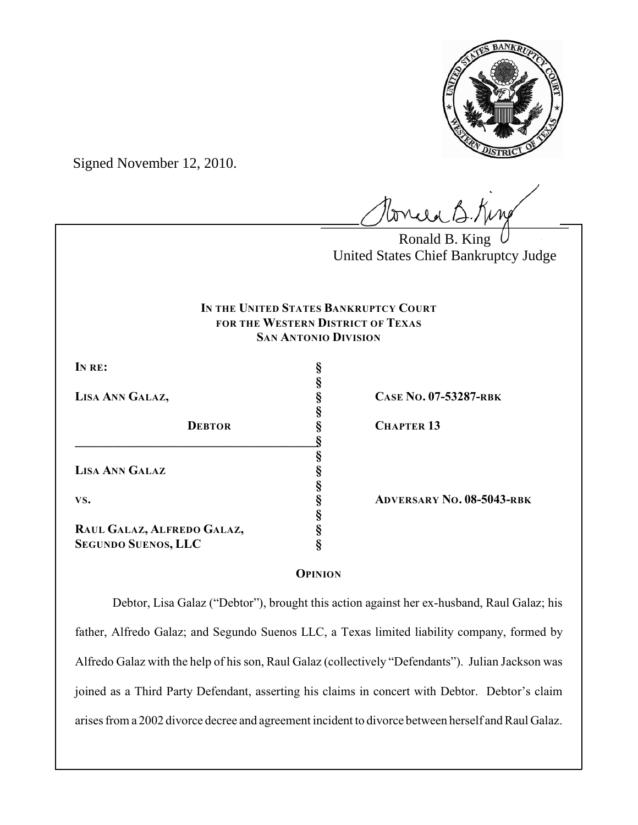

Signed November 12, 2010.

 $l$ onie B.Kin

Ronald B. King United States Chief Bankruptcy Judge

# **IN THE UNITED STATES BANKRUPTCY COURT FOR THE WESTERN DISTRICT OF TEXAS SAN ANTONIO DIVISION**

**§**

**§**

**§**

**§**

**§**

**IN RE: §**

**DEBTOR § CHAPTER 13 \_\_\_\_\_\_\_\_\_\_\_\_\_\_\_\_\_\_\_\_\_\_\_\_\_\_\_\_\_\_\_\_\_\_\_\_\_\_\_§ LISA ANN GALAZ §**

**RAUL GALAZ, ALFREDO GALAZ, § SEGUNDO SUENOS, LLC §**

**LISA ANN GALAZ, § CASE NO. 07-53287-RBK**

**VS. § ADVERSARY NO. 08-5043-RBK**

# **OPINION**

Debtor, Lisa Galaz ("Debtor"), brought this action against her ex-husband, Raul Galaz; his father, Alfredo Galaz; and Segundo Suenos LLC, a Texas limited liability company, formed by Alfredo Galaz with the help of his son, Raul Galaz (collectively "Defendants"). Julian Jackson was joined as a Third Party Defendant, asserting his claims in concert with Debtor. Debtor's claim arises from a 2002 divorce decree and agreement incident to divorce between herself and Raul Galaz.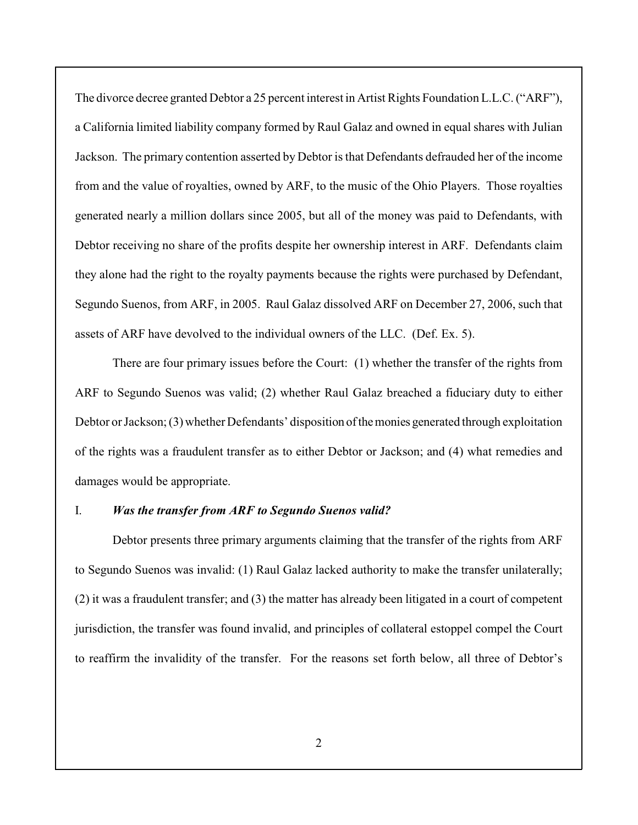The divorce decree granted Debtor a 25 percent interest in Artist Rights Foundation L.L.C. ("ARF"), a California limited liability company formed by Raul Galaz and owned in equal shares with Julian Jackson. The primary contention asserted by Debtor is that Defendants defrauded her of the income from and the value of royalties, owned by ARF, to the music of the Ohio Players. Those royalties generated nearly a million dollars since 2005, but all of the money was paid to Defendants, with Debtor receiving no share of the profits despite her ownership interest in ARF. Defendants claim they alone had the right to the royalty payments because the rights were purchased by Defendant, Segundo Suenos, from ARF, in 2005. Raul Galaz dissolved ARF on December 27, 2006, such that assets of ARF have devolved to the individual owners of the LLC. (Def. Ex. 5).

There are four primary issues before the Court: (1) whether the transfer of the rights from ARF to Segundo Suenos was valid; (2) whether Raul Galaz breached a fiduciary duty to either Debtor or Jackson; (3) whether Defendants' disposition of the monies generated through exploitation of the rights was a fraudulent transfer as to either Debtor or Jackson; and (4) what remedies and damages would be appropriate.

## I. *Was the transfer from ARF to Segundo Suenos valid?*

Debtor presents three primary arguments claiming that the transfer of the rights from ARF to Segundo Suenos was invalid: (1) Raul Galaz lacked authority to make the transfer unilaterally; (2) it was a fraudulent transfer; and (3) the matter has already been litigated in a court of competent jurisdiction, the transfer was found invalid, and principles of collateral estoppel compel the Court to reaffirm the invalidity of the transfer. For the reasons set forth below, all three of Debtor's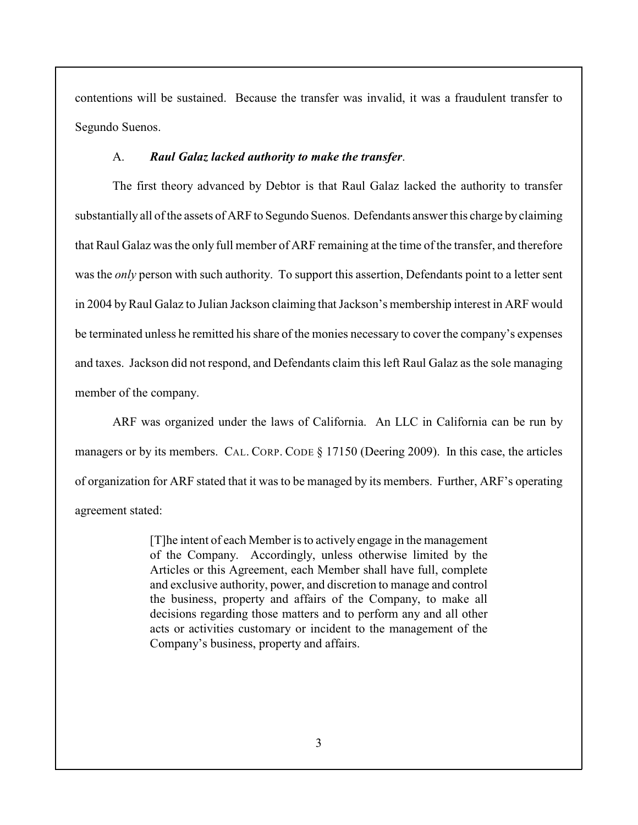contentions will be sustained. Because the transfer was invalid, it was a fraudulent transfer to Segundo Suenos.

#### A. *Raul Galaz lacked authority to make the transfer*.

The first theory advanced by Debtor is that Raul Galaz lacked the authority to transfer substantially all of the assets of ARF to Segundo Suenos. Defendants answer this charge by claiming that Raul Galaz was the only full member of ARF remaining at the time of the transfer, and therefore was the *only* person with such authority. To support this assertion, Defendants point to a letter sent in 2004 by Raul Galaz to Julian Jackson claiming that Jackson's membership interest in ARF would be terminated unless he remitted his share of the monies necessary to cover the company's expenses and taxes. Jackson did not respond, and Defendants claim this left Raul Galaz as the sole managing member of the company.

ARF was organized under the laws of California. An LLC in California can be run by managers or by its members. CAL. CORP. CODE § 17150 (Deering 2009). In this case, the articles of organization for ARF stated that it was to be managed by its members. Further, ARF's operating agreement stated:

> [T]he intent of each Member is to actively engage in the management of the Company. Accordingly, unless otherwise limited by the Articles or this Agreement, each Member shall have full, complete and exclusive authority, power, and discretion to manage and control the business, property and affairs of the Company, to make all decisions regarding those matters and to perform any and all other acts or activities customary or incident to the management of the Company's business, property and affairs.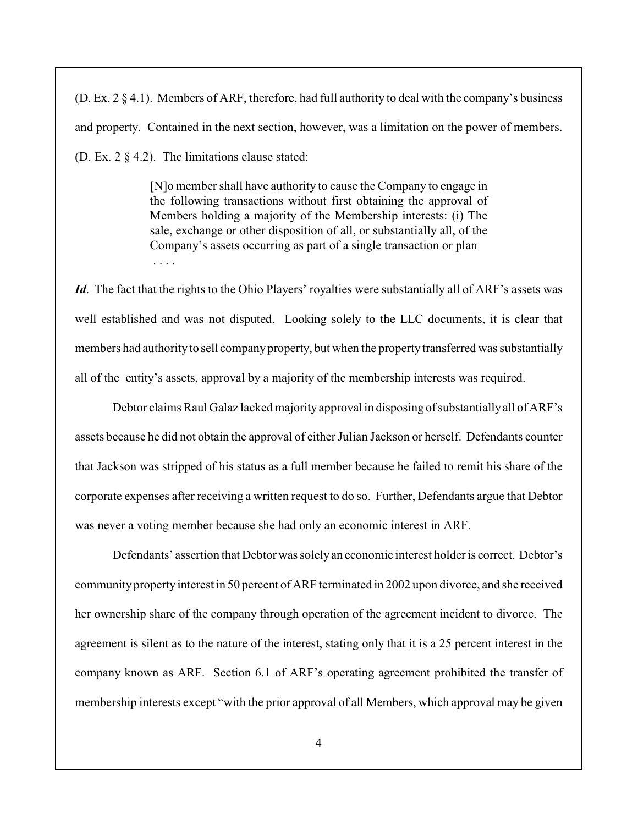(D. Ex. 2 § 4.1). Members of ARF, therefore, had full authority to deal with the company's business and property. Contained in the next section, however, was a limitation on the power of members. (D. Ex. 2 § 4.2). The limitations clause stated:

> [N]o member shall have authority to cause the Company to engage in the following transactions without first obtaining the approval of Members holding a majority of the Membership interests: (i) The sale, exchange or other disposition of all, or substantially all, of the Company's assets occurring as part of a single transaction or plan . . . .

*Id*. The fact that the rights to the Ohio Players' royalties were substantially all of ARF's assets was well established and was not disputed. Looking solely to the LLC documents, it is clear that members had authority to sell company property, but when the property transferred was substantially all of the entity's assets, approval by a majority of the membership interests was required.

Debtor claims Raul Galaz lacked majority approval in disposing of substantially all of ARF's assets because he did not obtain the approval of either Julian Jackson or herself. Defendants counter that Jackson was stripped of his status as a full member because he failed to remit his share of the corporate expenses after receiving a written request to do so. Further, Defendants argue that Debtor was never a voting member because she had only an economic interest in ARF.

Defendants' assertion that Debtor was solely an economic interest holder is correct. Debtor's community property interest in 50 percent of ARF terminated in 2002 upon divorce, and she received her ownership share of the company through operation of the agreement incident to divorce. The agreement is silent as to the nature of the interest, stating only that it is a 25 percent interest in the company known as ARF. Section 6.1 of ARF's operating agreement prohibited the transfer of membership interests except "with the prior approval of all Members, which approval may be given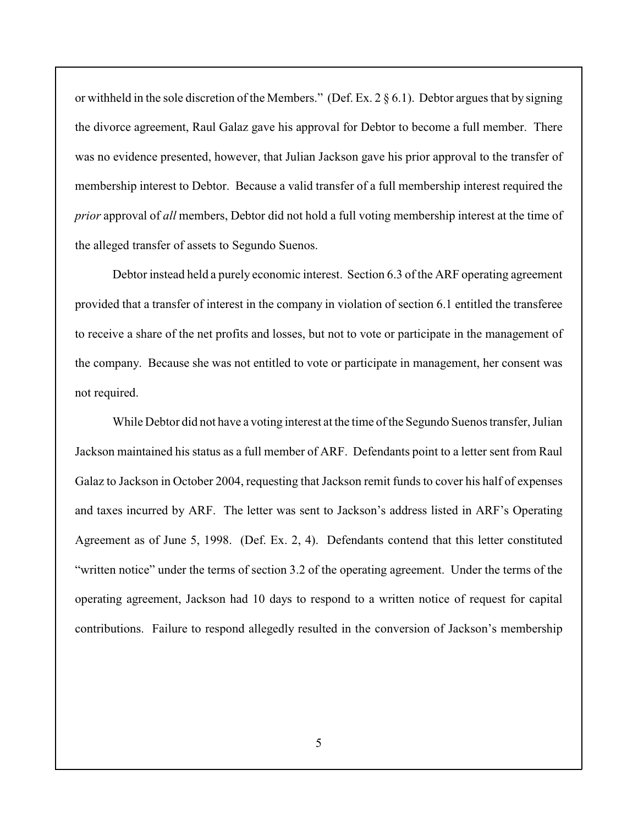or withheld in the sole discretion of the Members." (Def. Ex. 2 § 6.1). Debtor argues that by signing the divorce agreement, Raul Galaz gave his approval for Debtor to become a full member. There was no evidence presented, however, that Julian Jackson gave his prior approval to the transfer of membership interest to Debtor. Because a valid transfer of a full membership interest required the *prior* approval of *all* members, Debtor did not hold a full voting membership interest at the time of the alleged transfer of assets to Segundo Suenos.

Debtor instead held a purely economic interest. Section 6.3 of the ARF operating agreement provided that a transfer of interest in the company in violation of section 6.1 entitled the transferee to receive a share of the net profits and losses, but not to vote or participate in the management of the company. Because she was not entitled to vote or participate in management, her consent was not required.

While Debtor did not have a voting interest at the time of the Segundo Suenos transfer, Julian Jackson maintained his status as a full member of ARF. Defendants point to a letter sent from Raul Galaz to Jackson in October 2004, requesting that Jackson remit funds to cover his half of expenses and taxes incurred by ARF. The letter was sent to Jackson's address listed in ARF's Operating Agreement as of June 5, 1998. (Def. Ex. 2, 4). Defendants contend that this letter constituted "written notice" under the terms of section 3.2 of the operating agreement. Under the terms of the operating agreement, Jackson had 10 days to respond to a written notice of request for capital contributions. Failure to respond allegedly resulted in the conversion of Jackson's membership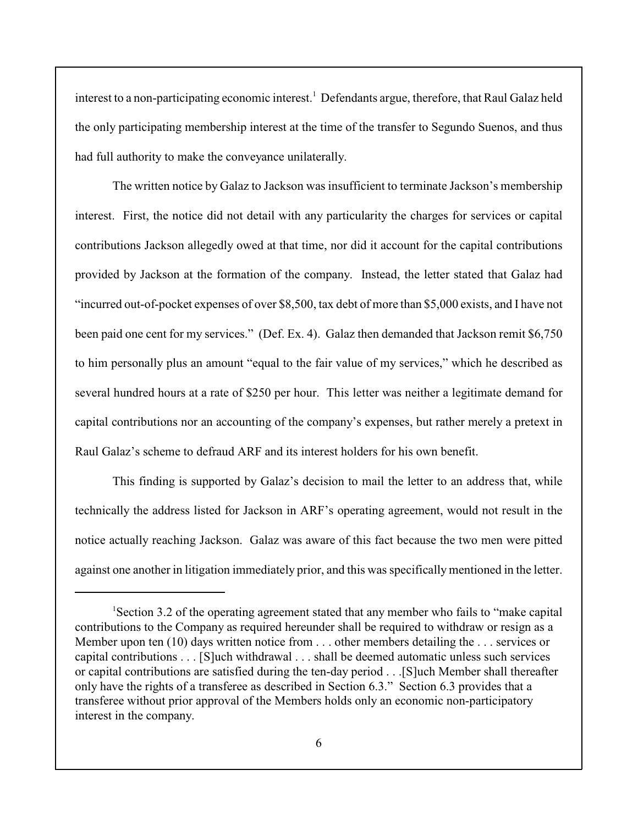interest to a non-participating economic interest.<sup>1</sup> Defendants argue, therefore, that Raul Galaz held the only participating membership interest at the time of the transfer to Segundo Suenos, and thus had full authority to make the conveyance unilaterally.

The written notice by Galaz to Jackson was insufficient to terminate Jackson's membership interest. First, the notice did not detail with any particularity the charges for services or capital contributions Jackson allegedly owed at that time, nor did it account for the capital contributions provided by Jackson at the formation of the company. Instead, the letter stated that Galaz had "incurred out-of-pocket expenses of over \$8,500, tax debt of more than \$5,000 exists, and I have not been paid one cent for my services." (Def. Ex. 4). Galaz then demanded that Jackson remit \$6,750 to him personally plus an amount "equal to the fair value of my services," which he described as several hundred hours at a rate of \$250 per hour. This letter was neither a legitimate demand for capital contributions nor an accounting of the company's expenses, but rather merely a pretext in Raul Galaz's scheme to defraud ARF and its interest holders for his own benefit.

This finding is supported by Galaz's decision to mail the letter to an address that, while technically the address listed for Jackson in ARF's operating agreement, would not result in the notice actually reaching Jackson. Galaz was aware of this fact because the two men were pitted against one another in litigation immediately prior, and this was specifically mentioned in the letter.

Section 3.2 of the operating agreement stated that any member who fails to "make capital <sup>1</sup> contributions to the Company as required hereunder shall be required to withdraw or resign as a Member upon ten (10) days written notice from . . . other members detailing the . . . services or capital contributions . . . [S]uch withdrawal . . . shall be deemed automatic unless such services or capital contributions are satisfied during the ten-day period . . .[S]uch Member shall thereafter only have the rights of a transferee as described in Section 6.3." Section 6.3 provides that a transferee without prior approval of the Members holds only an economic non-participatory interest in the company.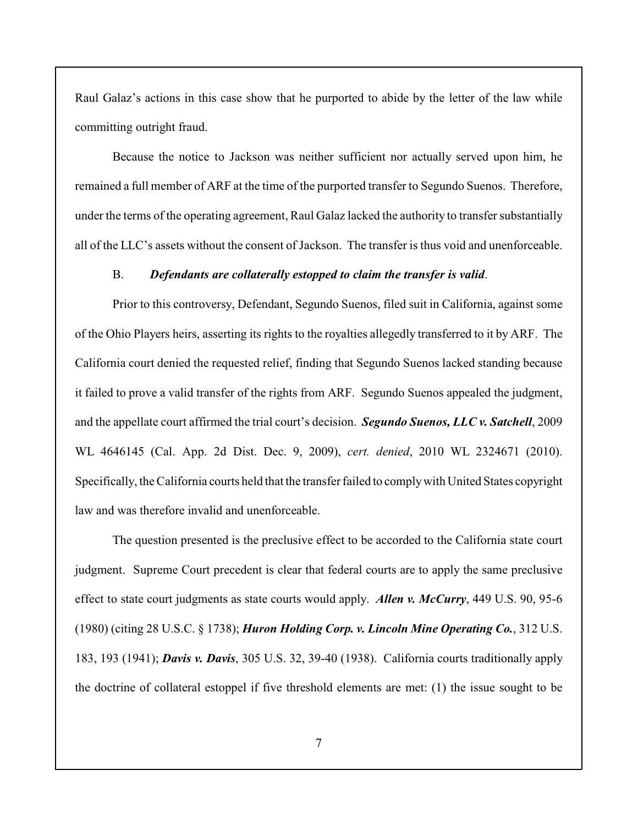Raul Galaz's actions in this case show that he purported to abide by the letter of the law while committing outright fraud.

Because the notice to Jackson was neither sufficient nor actually served upon him, he remained a full member of ARF at the time of the purported transfer to Segundo Suenos. Therefore, under the terms of the operating agreement, Raul Galaz lacked the authority to transfer substantially all of the LLC's assets without the consent of Jackson. The transfer is thus void and unenforceable.

## B. *Defendants are collaterally estopped to claim the transfer is valid*.

Prior to this controversy, Defendant, Segundo Suenos, filed suit in California, against some of the Ohio Players heirs, asserting its rights to the royalties allegedly transferred to it by ARF. The California court denied the requested relief, finding that Segundo Suenos lacked standing because it failed to prove a valid transfer of the rights from ARF. Segundo Suenos appealed the judgment, and the appellate court affirmed the trial court's decision. *Segundo Suenos, LLC v. Satchell*, 2009 WL 4646145 (Cal. App. 2d Dist. Dec. 9, 2009), *cert. denied*, 2010 WL 2324671 (2010). Specifically, the California courts held that the transfer failed to comply with United States copyright law and was therefore invalid and unenforceable.

The question presented is the preclusive effect to be accorded to the California state court judgment. Supreme Court precedent is clear that federal courts are to apply the same preclusive effect to state court judgments as state courts would apply. *Allen v. McCurry*, 449 U.S. 90, 95-6 (1980) (citing 28 U.S.C. § 1738); *Huron Holding Corp. v. Lincoln Mine Operating Co.*, 312 U.S. 183, 193 (1941); *Davis v. Davis*, 305 U.S. 32, 39-40 (1938). California courts traditionally apply the doctrine of collateral estoppel if five threshold elements are met: (1) the issue sought to be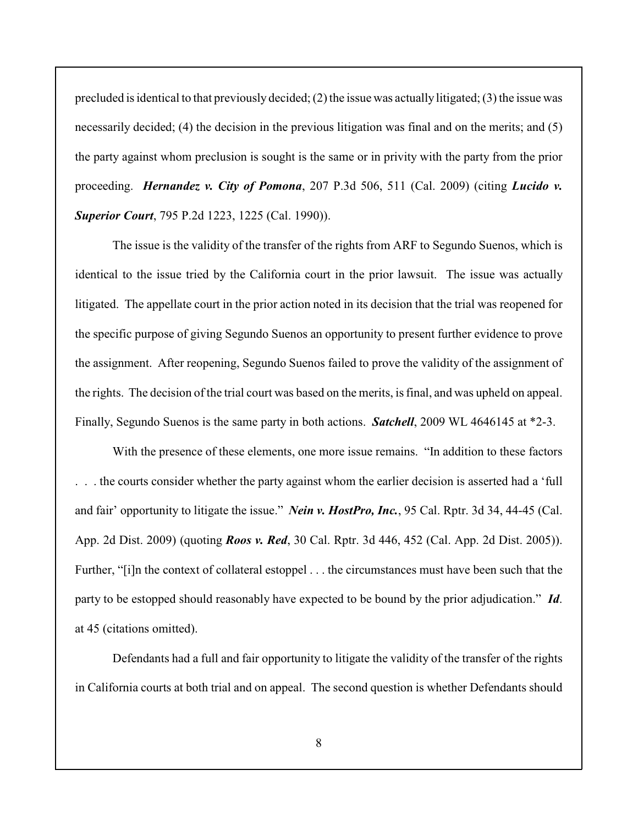precluded is identical to that previously decided; (2) the issue was actually litigated; (3) the issue was necessarily decided; (4) the decision in the previous litigation was final and on the merits; and (5) the party against whom preclusion is sought is the same or in privity with the party from the prior proceeding. *Hernandez v. City of Pomona*, 207 P.3d 506, 511 (Cal. 2009) (citing *Lucido v. Superior Court*, 795 P.2d 1223, 1225 (Cal. 1990)).

The issue is the validity of the transfer of the rights from ARF to Segundo Suenos, which is identical to the issue tried by the California court in the prior lawsuit. The issue was actually litigated. The appellate court in the prior action noted in its decision that the trial was reopened for the specific purpose of giving Segundo Suenos an opportunity to present further evidence to prove the assignment. After reopening, Segundo Suenos failed to prove the validity of the assignment of the rights. The decision of the trial court was based on the merits, is final, and was upheld on appeal. Finally, Segundo Suenos is the same party in both actions. *Satchell*, 2009 WL 4646145 at \*2-3.

With the presence of these elements, one more issue remains. "In addition to these factors . the courts consider whether the party against whom the earlier decision is asserted had a 'full and fair' opportunity to litigate the issue." *Nein v. HostPro, Inc.*, 95 Cal. Rptr. 3d 34, 44-45 (Cal. App. 2d Dist. 2009) (quoting *Roos v. Red*, 30 Cal. Rptr. 3d 446, 452 (Cal. App. 2d Dist. 2005)). Further, "[i]n the context of collateral estoppel . . . the circumstances must have been such that the party to be estopped should reasonably have expected to be bound by the prior adjudication." *Id*. at 45 (citations omitted).

Defendants had a full and fair opportunity to litigate the validity of the transfer of the rights in California courts at both trial and on appeal. The second question is whether Defendants should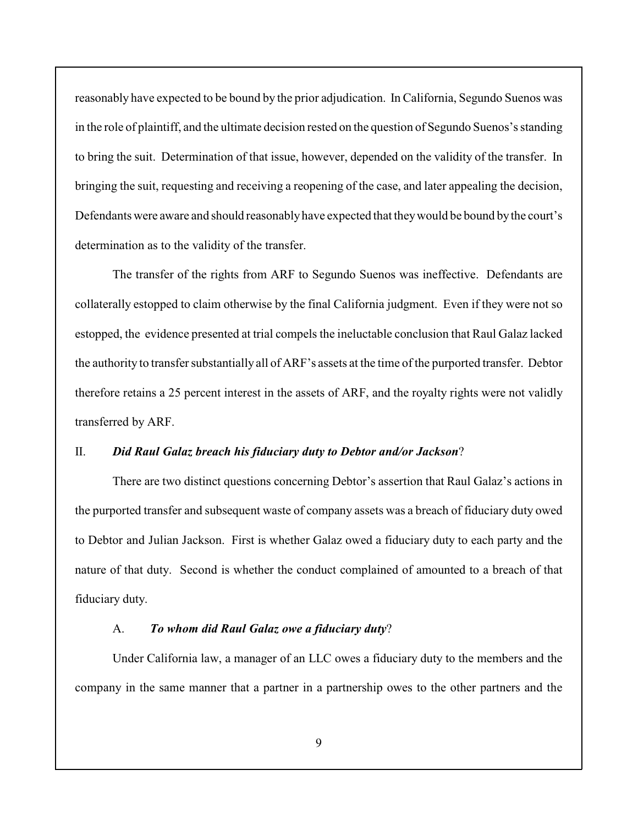reasonably have expected to be bound by the prior adjudication. In California, Segundo Suenos was in the role of plaintiff, and the ultimate decision rested on the question of Segundo Suenos's standing to bring the suit. Determination of that issue, however, depended on the validity of the transfer. In bringing the suit, requesting and receiving a reopening of the case, and later appealing the decision, Defendants were aware and should reasonably have expected that they would be bound by the court's determination as to the validity of the transfer.

The transfer of the rights from ARF to Segundo Suenos was ineffective. Defendants are collaterally estopped to claim otherwise by the final California judgment. Even if they were not so estopped, the evidence presented at trial compels the ineluctable conclusion that Raul Galaz lacked the authority to transfer substantially all of ARF's assets at the time of the purported transfer. Debtor therefore retains a 25 percent interest in the assets of ARF, and the royalty rights were not validly transferred by ARF.

#### II. *Did Raul Galaz breach his fiduciary duty to Debtor and/or Jackson*?

There are two distinct questions concerning Debtor's assertion that Raul Galaz's actions in the purported transfer and subsequent waste of company assets was a breach of fiduciary duty owed to Debtor and Julian Jackson. First is whether Galaz owed a fiduciary duty to each party and the nature of that duty. Second is whether the conduct complained of amounted to a breach of that fiduciary duty.

## A. *To whom did Raul Galaz owe a fiduciary duty*?

Under California law, a manager of an LLC owes a fiduciary duty to the members and the company in the same manner that a partner in a partnership owes to the other partners and the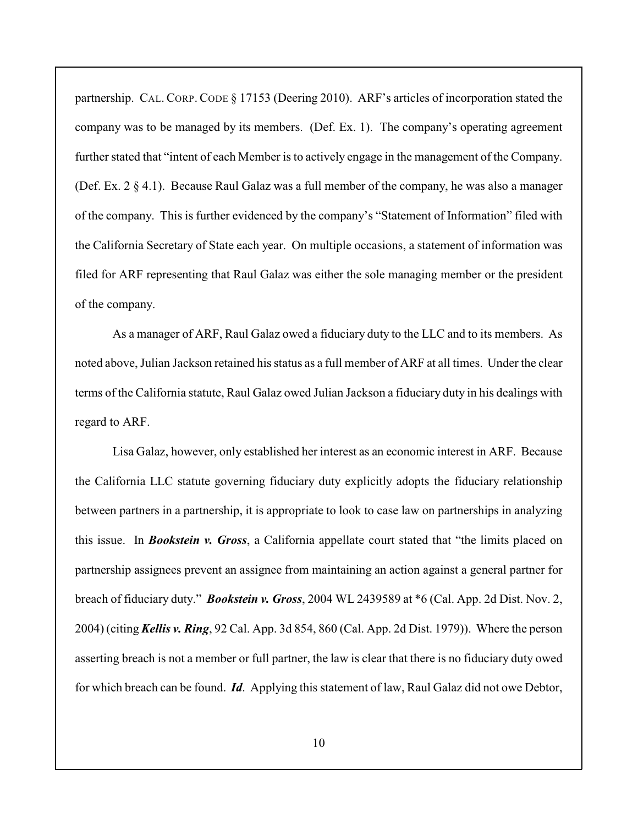partnership. CAL. CORP. CODE § 17153 (Deering 2010). ARF's articles of incorporation stated the company was to be managed by its members. (Def. Ex. 1). The company's operating agreement further stated that "intent of each Member is to actively engage in the management of the Company. (Def. Ex. 2 § 4.1). Because Raul Galaz was a full member of the company, he was also a manager of the company. This is further evidenced by the company's "Statement of Information" filed with the California Secretary of State each year. On multiple occasions, a statement of information was filed for ARF representing that Raul Galaz was either the sole managing member or the president of the company.

As a manager of ARF, Raul Galaz owed a fiduciary duty to the LLC and to its members. As noted above, Julian Jackson retained his status as a full member of ARF at all times. Under the clear terms of the California statute, Raul Galaz owed Julian Jackson a fiduciary duty in his dealings with regard to ARF.

Lisa Galaz, however, only established her interest as an economic interest in ARF. Because the California LLC statute governing fiduciary duty explicitly adopts the fiduciary relationship between partners in a partnership, it is appropriate to look to case law on partnerships in analyzing this issue. In *Bookstein v. Gross*, a California appellate court stated that "the limits placed on partnership assignees prevent an assignee from maintaining an action against a general partner for breach of fiduciary duty." *Bookstein v. Gross*, 2004 WL 2439589 at \*6 (Cal. App. 2d Dist. Nov. 2, 2004) (citing *Kellis v. Ring*, 92 Cal. App. 3d 854, 860 (Cal. App. 2d Dist. 1979)). Where the person asserting breach is not a member or full partner, the law is clear that there is no fiduciary duty owed for which breach can be found. *Id*. Applying this statement of law, Raul Galaz did not owe Debtor,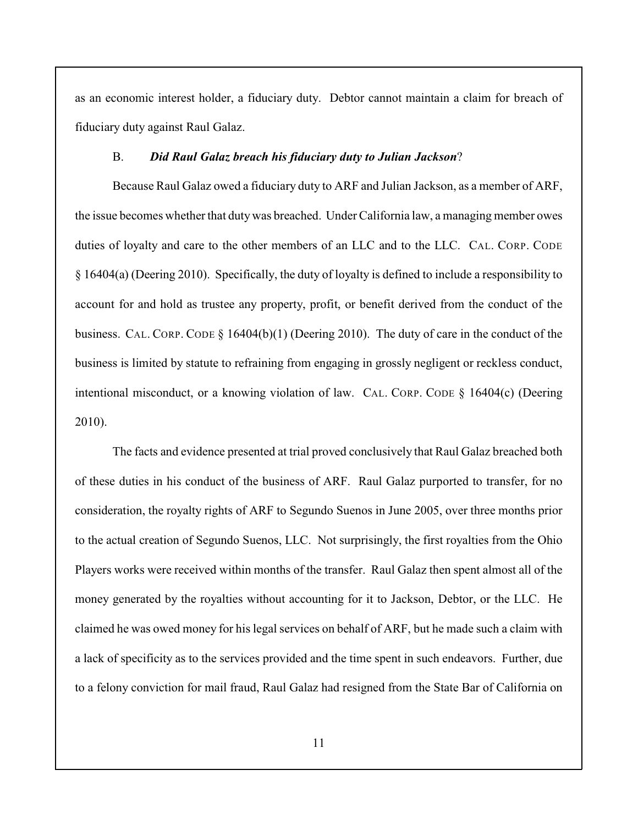as an economic interest holder, a fiduciary duty. Debtor cannot maintain a claim for breach of fiduciary duty against Raul Galaz.

### B. *Did Raul Galaz breach his fiduciary duty to Julian Jackson*?

Because Raul Galaz owed a fiduciary duty to ARF and Julian Jackson, as a member of ARF, the issue becomes whether that duty was breached. Under California law, a managing member owes duties of loyalty and care to the other members of an LLC and to the LLC. CAL. CORP. CODE § 16404(a) (Deering 2010). Specifically, the duty of loyalty is defined to include a responsibility to account for and hold as trustee any property, profit, or benefit derived from the conduct of the business. CAL. CORP. CODE § 16404(b)(1) (Deering 2010). The duty of care in the conduct of the business is limited by statute to refraining from engaging in grossly negligent or reckless conduct, intentional misconduct, or a knowing violation of law. CAL. CORP. CODE  $\S$  16404(c) (Deering 2010).

The facts and evidence presented at trial proved conclusively that Raul Galaz breached both of these duties in his conduct of the business of ARF. Raul Galaz purported to transfer, for no consideration, the royalty rights of ARF to Segundo Suenos in June 2005, over three months prior to the actual creation of Segundo Suenos, LLC. Not surprisingly, the first royalties from the Ohio Players works were received within months of the transfer. Raul Galaz then spent almost all of the money generated by the royalties without accounting for it to Jackson, Debtor, or the LLC. He claimed he was owed money for hislegal services on behalf of ARF, but he made such a claim with a lack of specificity as to the services provided and the time spent in such endeavors. Further, due to a felony conviction for mail fraud, Raul Galaz had resigned from the State Bar of California on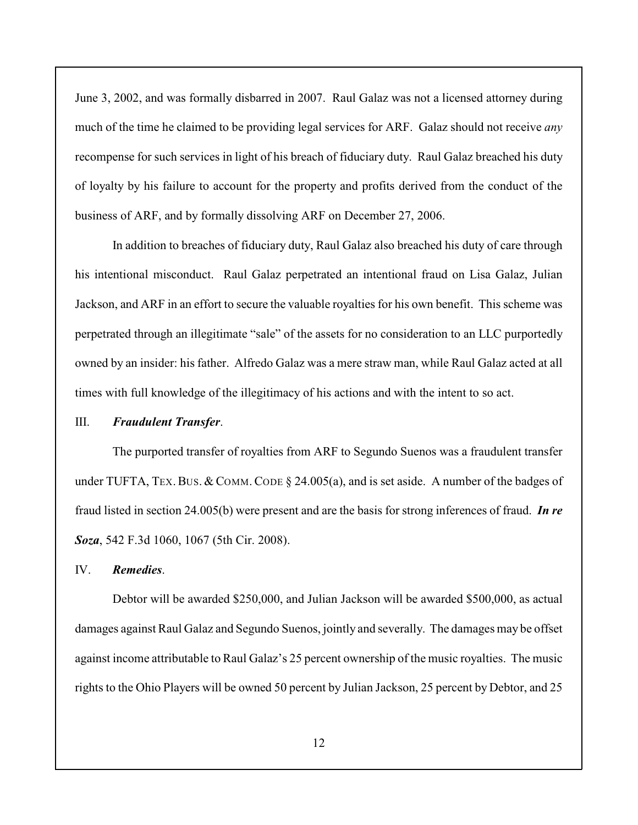June 3, 2002, and was formally disbarred in 2007. Raul Galaz was not a licensed attorney during much of the time he claimed to be providing legal services for ARF. Galaz should not receive *any* recompense for such services in light of his breach of fiduciary duty. Raul Galaz breached his duty of loyalty by his failure to account for the property and profits derived from the conduct of the business of ARF, and by formally dissolving ARF on December 27, 2006.

In addition to breaches of fiduciary duty, Raul Galaz also breached his duty of care through his intentional misconduct. Raul Galaz perpetrated an intentional fraud on Lisa Galaz, Julian Jackson, and ARF in an effort to secure the valuable royalties for his own benefit. This scheme was perpetrated through an illegitimate "sale" of the assets for no consideration to an LLC purportedly owned by an insider: hisfather. Alfredo Galaz was a mere straw man, while Raul Galaz acted at all times with full knowledge of the illegitimacy of his actions and with the intent to so act.

### III. *Fraudulent Transfer*.

The purported transfer of royalties from ARF to Segundo Suenos was a fraudulent transfer under TUFTA, TEX. BUS. & COMM. CODE  $\S$  24.005(a), and is set aside. A number of the badges of fraud listed in section 24.005(b) were present and are the basis for strong inferences of fraud. *In re Soza*, 542 F.3d 1060, 1067 (5th Cir. 2008).

## IV. *Remedies*.

Debtor will be awarded \$250,000, and Julian Jackson will be awarded \$500,000, as actual damages against Raul Galaz and Segundo Suenos, jointly and severally. The damages may be offset against income attributable to Raul Galaz's 25 percent ownership of the music royalties. The music rights to the Ohio Players will be owned 50 percent by Julian Jackson, 25 percent by Debtor, and 25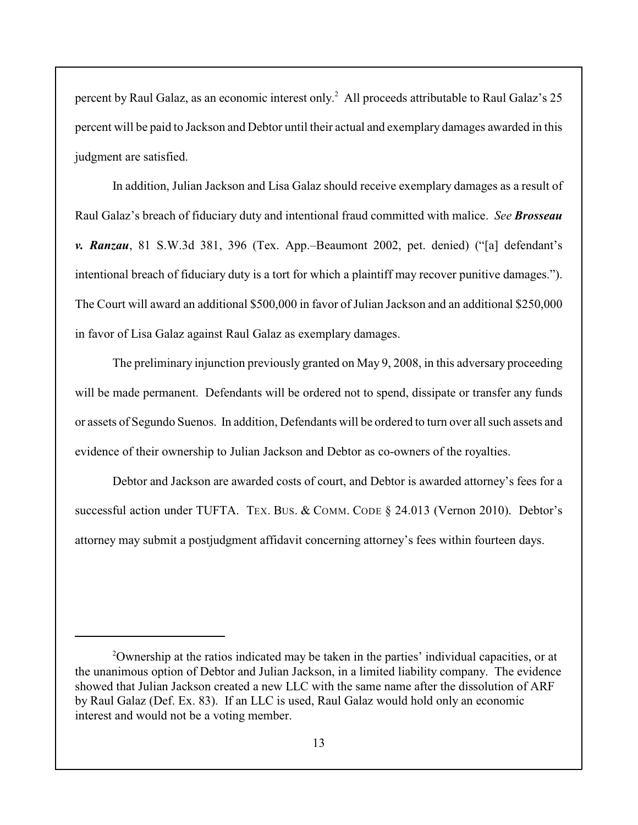percent by Raul Galaz, as an economic interest only.<sup>2</sup> All proceeds attributable to Raul Galaz's 25 percent will be paid to Jackson and Debtor until their actual and exemplary damages awarded in this judgment are satisfied.

In addition, Julian Jackson and Lisa Galaz should receive exemplary damages as a result of Raul Galaz's breach of fiduciary duty and intentional fraud committed with malice. *See Brosseau v. Ranzau*, 81 S.W.3d 381, 396 (Tex. App.–Beaumont 2002, pet. denied) ("[a] defendant's intentional breach of fiduciary duty is a tort for which a plaintiff may recover punitive damages."). The Court will award an additional \$500,000 in favor of Julian Jackson and an additional \$250,000 in favor of Lisa Galaz against Raul Galaz as exemplary damages.

The preliminary injunction previously granted on May 9, 2008, in this adversary proceeding will be made permanent. Defendants will be ordered not to spend, dissipate or transfer any funds or assets of Segundo Suenos. In addition, Defendants will be ordered to turn over all such assets and evidence of their ownership to Julian Jackson and Debtor as co-owners of the royalties.

Debtor and Jackson are awarded costs of court, and Debtor is awarded attorney's fees for a successful action under TUFTA. TEX. BUS. & COMM. CODE § 24.013 (Vernon 2010). Debtor's attorney may submit a postjudgment affidavit concerning attorney's fees within fourteen days.

<sup>&</sup>lt;sup>2</sup>Ownership at the ratios indicated may be taken in the parties' individual capacities, or at the unanimous option of Debtor and Julian Jackson, in a limited liability company. The evidence showed that Julian Jackson created a new LLC with the same name after the dissolution of ARF by Raul Galaz (Def. Ex. 83). If an LLC is used, Raul Galaz would hold only an economic interest and would not be a voting member.